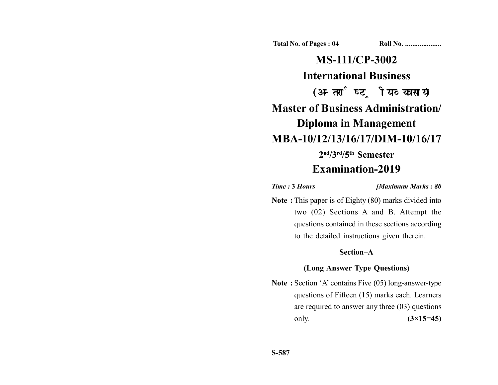**Total No. of Pages : 04 Roll No. ...................** 

# **MS-111/CP-3002 International Business** (अन्तर्राष्ट्रीय व्यवसाय) **Master of Business Administration/ Diploma in Management MBA-10/12/13/16/17/DIM-10/16/17 2nd/3rd/5th Semester Examination-2019**

#### *Time :* **3** *Hours [Maximum Marks : 80*

**Note :** This paper is of Eighty (80) marks divided into two (02) Sections A and B. Attempt the questions contained in these sections according to the detailed instructions given therein.

## **Section–A**

## **(Long Answer Type Questions)**

**Note :** Section 'A' contains Five (05) long-answer-type questions of Fifteen (15) marks each. Learners are required to answer any three (03) questions only. **(3×15=45)**